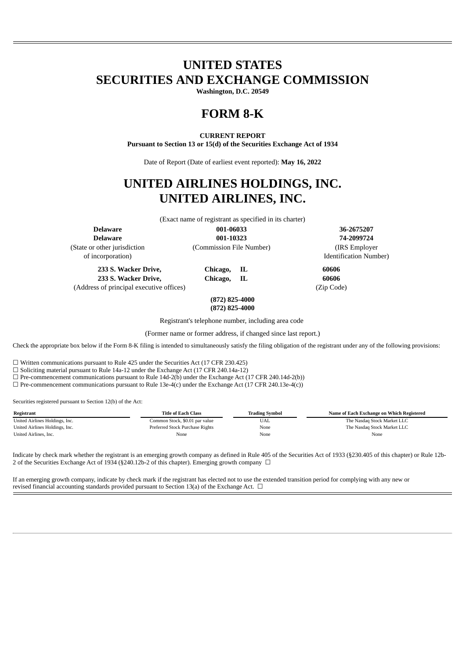## **UNITED STATES SECURITIES AND EXCHANGE COMMISSION**

**Washington, D.C. 20549**

# **FORM 8-K**

## **CURRENT REPORT**

**Pursuant to Section 13 or 15(d) of the Securities Exchange Act of 1934**

Date of Report (Date of earliest event reported): **May 16, 2022**

## **UNITED AIRLINES HOLDINGS, INC. UNITED AIRLINES, INC.**

(Exact name of registrant as specified in its charter)

(State or other jurisdiction (Commission File Number) (IRS Employer

**Delaware 001-06033 36-2675207 Delaware 001-10323 74-2099724**

of incorporation) Identification Number)

**233 S. Wacker Drive, Chicago, IL 60606 233 S. Wacker Drive, Chicago, IL 60606** (Address of principal executive offices) (Zip Code)

**(872) 825-4000**

**(872) 825-4000**

Registrant's telephone number, including area code

(Former name or former address, if changed since last report.)

Check the appropriate box below if the Form 8-K filing is intended to simultaneously satisfy the filing obligation of the registrant under any of the following provisions:

 $\Box$  Written communications pursuant to Rule 425 under the Securities Act (17 CFR 230.425)

☐ Soliciting material pursuant to Rule 14a-12 under the Exchange Act (17 CFR 240.14a-12)

 $\Box$  Pre-commencement communications pursuant to Rule 14d-2(b) under the Exchange Act (17 CFR 240.14d-2(b))

 $\Box$  Pre-commencement communications pursuant to Rule 13e-4(c) under the Exchange Act (17 CFR 240.13e-4(c))

Securities registered pursuant to Section 12(b) of the Act:

| Registrant                     | Title of Each Class             | <b>Trading Symbol</b> | Name of Each Exchange on Which Registered |
|--------------------------------|---------------------------------|-----------------------|-------------------------------------------|
| United Airlines Holdings, Inc. | Common Stock, \$0.01 par value  | UAL                   | The Nasdaq Stock Market LLC               |
| United Airlines Holdings, Inc. | Preferred Stock Purchase Rights | None                  | The Nasdaq Stock Market LLC               |
| United Airlines, Inc.          | None                            | None                  | None                                      |

Indicate by check mark whether the registrant is an emerging growth company as defined in Rule 405 of the Securities Act of 1933 (§230.405 of this chapter) or Rule 12b-2 of the Securities Exchange Act of 1934 (§240.12b-2 of this chapter). Emerging growth company □

If an emerging growth company, indicate by check mark if the registrant has elected not to use the extended transition period for complying with any new or revised financial accounting standards provided pursuant to Section 13(a) of the Exchange Act.  $\Box$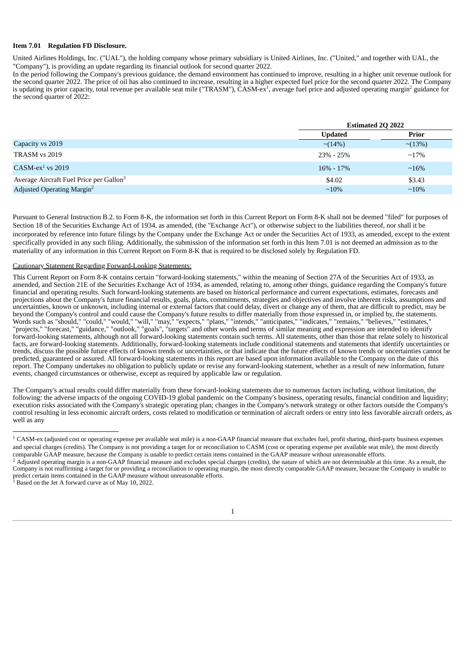### **Item 7.01 Regulation FD Disclosure.**

United Airlines Holdings, Inc. ("UAL"), the holding company whose primary subsidiary is United Airlines, Inc. ("United," and together with UAL, the "Company"), is providing an update regarding its financial outlook for second quarter 2022.

In the period following the Company's previous guidance, the demand environment has continued to improve, resulting in a higher unit revenue outlook for the second quarter 2022. The price of oil has also continued to increase, resulting in a higher expected fuel price for the second quarter 2022. The Company is updating its prior capacity, total revenue per available seat mile ("TRASM"),  $\text{\v{CASM-ex}}^1$ , average fuel price and adjusted operating margin<sup>2</sup> guidance for the second quarter of 2022:

|                                                     |                | <b>Estimated 2Q 2022</b> |  |  |
|-----------------------------------------------------|----------------|--------------------------|--|--|
|                                                     | <b>Updated</b> | <b>Prior</b>             |  |  |
| Capacity vs 2019                                    | $\sim$ (14%)   | $\sim$ (13%)             |  |  |
| TRASM vs 2019                                       | $23\% - 25\%$  | $\sim$ 17%               |  |  |
| $CASM-ex1$ vs 2019                                  | $16\% - 17\%$  | $~16\%$                  |  |  |
| Average Aircraft Fuel Price per Gallon <sup>3</sup> | \$4.02         | \$3.43                   |  |  |
| Adjusted Operating Margin <sup>2</sup>              | $\sim$ 10%     | $\sim$ 10%               |  |  |

Pursuant to General Instruction B.2. to Form 8-K, the information set forth in this Current Report on Form 8-K shall not be deemed "filed" for purposes of Section 18 of the Securities Exchange Act of 1934, as amended, (the "Exchange Act"), or otherwise subject to the liabilities thereof, nor shall it be incorporated by reference into future filings by the Company under the Exchange Act or under the Securities Act of 1933, as amended, except to the extent specifically provided in any such filing. Additionally, the submission of the information set forth in this Item 7.01 is not deemed an admission as to the materiality of any information in this Current Report on Form 8-K that is required to be disclosed solely by Regulation FD.

#### Cautionary Statement Regarding Forward-Looking Statements:

This Current Report on Form 8-K contains certain "forward-looking statements," within the meaning of Section 27A of the Securities Act of 1933, as amended, and Section 21E of the Securities Exchange Act of 1934, as amended, relating to, among other things, guidance regarding the Company's future financial and operating results. Such forward-looking statements are based on historical performance and current expectations, estimates, forecasts and projections about the Company's future financial results, goals, plans, commitments, strategies and objectives and involve inherent risks, assumptions and uncertainties, known or unknown, including internal or external factors that could delay, divert or change any of them, that are difficult to predict, may be beyond the Company's control and could cause the Company's future results to differ materially from those expressed in, or implied by, the statements. Words such as "should," "could," "would," "will," "may," "expects," "plans," "intends," "anticipates," "indicates," "remains," "believes," "estimates," "projects," "forecast," "guidance," "outlook," "goals", "targets" and other words and terms of similar meaning and expression are intended to identify forward-looking statements, although not all forward-looking statements contain such terms. All statements, other than those that relate solely to historical facts, are forward-looking statements. Additionally, forward-looking statements include conditional statements and statements that identify uncertainties or trends, discuss the possible future effects of known trends or uncertainties, or that indicate that the future effects of known trends or uncertainties cannot be predicted, guaranteed or assured. All forward-looking statements in this report are based upon information available to the Company on the date of this report. The Company undertakes no obligation to publicly update or revise any forward-looking statement, whether as a result of new information, future events, changed circumstances or otherwise, except as required by applicable law or regulation.

The Company's actual results could differ materially from these forward-looking statements due to numerous factors including, without limitation, the following: the adverse impacts of the ongoing COVID-19 global pandemic on the Company's business, operating results, financial condition and liquidity; execution risks associated with the Company's strategic operating plan; changes in the Company's network strategy or other factors outside the Company's control resulting in less economic aircraft orders, costs related to modification or termination of aircraft orders or entry into less favorable aircraft orders, as well as any

 $3$  Based on the Jet A forward curve as of May 10, 2022.

1

 $1$  CASM-ex (adjusted cost or operating expense per available seat mile) is a non-GAAP financial measure that excludes fuel, profit sharing, third-party business expenses and special charges (credits). The Company is not providing a target for or reconciliation to CASM (cost or operating expense per available seat mile), the most directly comparable GAAP measure, because the Company is unable to predict certain items contained in the GAAP measure without unreasonable efforts.

 $^2$  Adjusted operating margin is a non-GAAP financial measure and excludes special charges (credits), the nature of which are not determinable at this time. As a result, the Company is not reaffirming a target for or providing a reconciliation to operating margin, the most directly comparable GAAP measure, because the Company is unable to predict certain items contained in the GAAP measure without unreasonable efforts.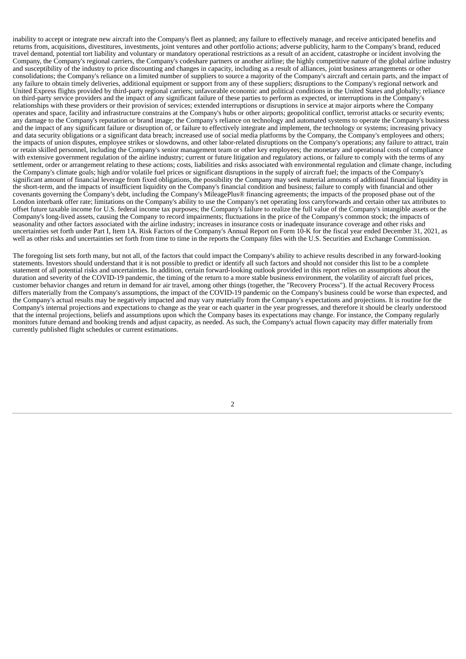inability to accept or integrate new aircraft into the Company's fleet as planned; any failure to effectively manage, and receive anticipated benefits and returns from, acquisitions, divestitures, investments, joint ventures and other portfolio actions; adverse publicity, harm to the Company's brand, reduced travel demand, potential tort liability and voluntary or mandatory operational restrictions as a result of an accident, catastrophe or incident involving the Company, the Company's regional carriers, the Company's codeshare partners or another airline; the highly competitive nature of the global airline industry and susceptibility of the industry to price discounting and changes in capacity, including as a result of alliances, joint business arrangements or other consolidations; the Company's reliance on a limited number of suppliers to source a majority of the Company's aircraft and certain parts, and the impact of any failure to obtain timely deliveries, additional equipment or support from any of these suppliers; disruptions to the Company's regional network and United Express flights provided by third-party regional carriers; unfavorable economic and political conditions in the United States and globally; reliance on third-party service providers and the impact of any significant failure of these parties to perform as expected, or interruptions in the Company's relationships with these providers or their provision of services; extended interruptions or disruptions in service at major airports where the Company operates and space, facility and infrastructure constrains at the Company's hubs or other airports; geopolitical conflict, terrorist attacks or security events; any damage to the Company's reputation or brand image; the Company's reliance on technology and automated systems to operate the Company's business and the impact of any significant failure or disruption of, or failure to effectively integrate and implement, the technology or systems; increasing privacy and data security obligations or a significant data breach; increased use of social media platforms by the Company, the Company's employees and others; the impacts of union disputes, employee strikes or slowdowns, and other labor-related disruptions on the Company's operations; any failure to attract, train or retain skilled personnel, including the Company's senior management team or other key employees; the monetary and operational costs of compliance with extensive government regulation of the airline industry; current or future litigation and regulatory actions, or failure to comply with the terms of any settlement, order or arrangement relating to these actions; costs, liabilities and risks associated with environmental regulation and climate change, including the Company's climate goals; high and/or volatile fuel prices or significant disruptions in the supply of aircraft fuel; the impacts of the Company's significant amount of financial leverage from fixed obligations, the possibility the Company may seek material amounts of additional financial liquidity in the short-term, and the impacts of insufficient liquidity on the Company's financial condition and business; failure to comply with financial and other covenants governing the Company's debt, including the Company's MileagePlus® financing agreements; the impacts of the proposed phase out of the London interbank offer rate; limitations on the Company's ability to use the Company's net operating loss carryforwards and certain other tax attributes to offset future taxable income for U.S. federal income tax purposes; the Company's failure to realize the full value of the Company's intangible assets or the Company's long-lived assets, causing the Company to record impairments; fluctuations in the price of the Company's common stock; the impacts of seasonality and other factors associated with the airline industry; increases in insurance costs or inadequate insurance coverage and other risks and uncertainties set forth under Part I, Item 1A. Risk Factors of the Company's Annual Report on Form 10-K for the fiscal year ended December 31, 2021, as well as other risks and uncertainties set forth from time to time in the reports the Company files with the U.S. Securities and Exchange Commission.

The foregoing list sets forth many, but not all, of the factors that could impact the Company's ability to achieve results described in any forward-looking statements. Investors should understand that it is not possible to predict or identify all such factors and should not consider this list to be a complete statement of all potential risks and uncertainties. In addition, certain forward-looking outlook provided in this report relies on assumptions about the duration and severity of the COVID-19 pandemic, the timing of the return to a more stable business environment, the volatility of aircraft fuel prices, customer behavior changes and return in demand for air travel, among other things (together, the "Recovery Process"). If the actual Recovery Process differs materially from the Company's assumptions, the impact of the COVID-19 pandemic on the Company's business could be worse than expected, and the Company's actual results may be negatively impacted and may vary materially from the Company's expectations and projections. It is routine for the Company's internal projections and expectations to change as the year or each quarter in the year progresses, and therefore it should be clearly understood that the internal projections, beliefs and assumptions upon which the Company bases its expectations may change. For instance, the Company regularly monitors future demand and booking trends and adjust capacity, as needed. As such, the Company's actual flown capacity may differ materially from currently published flight schedules or current estimations.

2